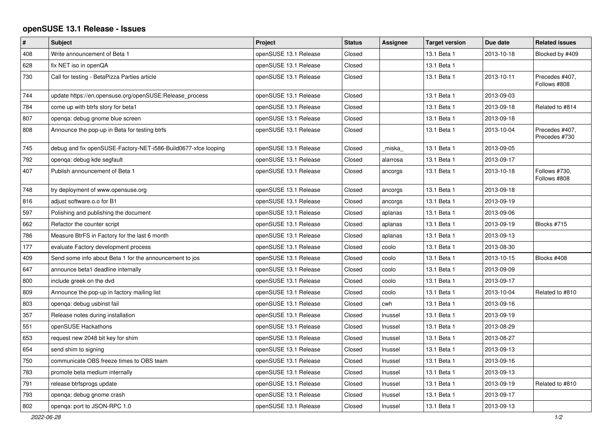## **openSUSE 13.1 Release - Issues**

| $\pmb{\#}$ | <b>Subject</b>                                                 | Project               | <b>Status</b> | <b>Assignee</b> | <b>Target version</b> | Due date   | <b>Related issues</b>           |
|------------|----------------------------------------------------------------|-----------------------|---------------|-----------------|-----------------------|------------|---------------------------------|
| 408        | Write announcement of Beta 1                                   | openSUSE 13.1 Release | Closed        |                 | 13.1 Beta 1           | 2013-10-18 | Blocked by #409                 |
| 628        | fix NET iso in openQA                                          | openSUSE 13.1 Release | Closed        |                 | 13.1 Beta 1           |            |                                 |
| 730        | Call for testing - BetaPizza Parties article                   | openSUSE 13.1 Release | Closed        |                 | 13.1 Beta 1           | 2013-10-11 | Precedes #407,<br>Follows #808  |
| 744        | update https://en.opensuse.org/openSUSE:Release_process        | openSUSE 13.1 Release | Closed        |                 | 13.1 Beta 1           | 2013-09-03 |                                 |
| 784        | come up with btrfs story for beta1                             | openSUSE 13.1 Release | Closed        |                 | 13.1 Beta 1           | 2013-09-18 | Related to #814                 |
| 807        | openga: debug gnome blue screen                                | openSUSE 13.1 Release | Closed        |                 | 13.1 Beta 1           | 2013-09-18 |                                 |
| 808        | Announce the pop-up in Beta for testing btrfs                  | openSUSE 13.1 Release | Closed        |                 | 13.1 Beta 1           | 2013-10-04 | Precedes #407,<br>Precedes #730 |
| 745        | debug and fix openSUSE-Factory-NET-i586-Build0677-xfce looping | openSUSE 13.1 Release | Closed        | miska           | 13.1 Beta 1           | 2013-09-05 |                                 |
| 792        | openga: debug kde segfault                                     | openSUSE 13.1 Release | Closed        | alarrosa        | 13.1 Beta 1           | 2013-09-17 |                                 |
| 407        | Publish announcement of Beta 1                                 | openSUSE 13.1 Release | Closed        | ancorgs         | 13.1 Beta 1           | 2013-10-18 | Follows #730,<br>Follows #808   |
| 748        | try deployment of www.opensuse.org                             | openSUSE 13.1 Release | Closed        | ancorgs         | 13.1 Beta 1           | 2013-09-18 |                                 |
| 816        | adjust software.o.o for B1                                     | openSUSE 13.1 Release | Closed        | ancorgs         | 13.1 Beta 1           | 2013-09-19 |                                 |
| 597        | Polishing and publishing the document                          | openSUSE 13.1 Release | Closed        | aplanas         | 13.1 Beta 1           | 2013-09-06 |                                 |
| 662        | Refactor the counter script                                    | openSUSE 13.1 Release | Closed        | aplanas         | 13.1 Beta 1           | 2013-09-19 | Blocks #715                     |
| 786        | Measure BtrFS in Factory for the last 6 month                  | openSUSE 13.1 Release | Closed        | aplanas         | 13.1 Beta 1           | 2013-09-13 |                                 |
| 177        | evaluate Factory development process                           | openSUSE 13.1 Release | Closed        | coolo           | 13.1 Beta 1           | 2013-08-30 |                                 |
| 409        | Send some info about Beta 1 for the announcement to jos        | openSUSE 13.1 Release | Closed        | coolo           | 13.1 Beta 1           | 2013-10-15 | Blocks #408                     |
| 647        | announce beta1 deadline internally                             | openSUSE 13.1 Release | Closed        | coolo           | 13.1 Beta 1           | 2013-09-09 |                                 |
| 800        | include greek on the dvd                                       | openSUSE 13.1 Release | Closed        | coolo           | 13.1 Beta 1           | 2013-09-17 |                                 |
| 809        | Announce the pop-up in factory mailing list                    | openSUSE 13.1 Release | Closed        | coolo           | 13.1 Beta 1           | 2013-10-04 | Related to #810                 |
| 803        | openga: debug usbinst fail                                     | openSUSE 13.1 Release | Closed        | cwh             | 13.1 Beta 1           | 2013-09-16 |                                 |
| 357        | Release notes during installation                              | openSUSE 13.1 Release | Closed        | Inussel         | 13.1 Beta 1           | 2013-09-19 |                                 |
| 551        | openSUSE Hackathons                                            | openSUSE 13.1 Release | Closed        | Inussel         | 13.1 Beta 1           | 2013-08-29 |                                 |
| 653        | request new 2048 bit key for shim                              | openSUSE 13.1 Release | Closed        | Inussel         | 13.1 Beta 1           | 2013-08-27 |                                 |
| 654        | send shim to signing                                           | openSUSE 13.1 Release | Closed        | Inussel         | 13.1 Beta 1           | 2013-09-13 |                                 |
| 750        | communicate OBS freeze times to OBS team                       | openSUSE 13.1 Release | Closed        | Inussel         | 13.1 Beta 1           | 2013-09-16 |                                 |
| 783        | promote beta medium internally                                 | openSUSE 13.1 Release | Closed        | Inussel         | 13.1 Beta 1           | 2013-09-13 |                                 |
| 791        | release btrfsprogs update                                      | openSUSE 13.1 Release | Closed        | Inussel         | 13.1 Beta 1           | 2013-09-19 | Related to #810                 |
| 793        | openqa: debug gnome crash                                      | openSUSE 13.1 Release | Closed        | Inussel         | 13.1 Beta 1           | 2013-09-17 |                                 |
| 802        | openga: port to JSON-RPC 1.0                                   | openSUSE 13.1 Release | Closed        | Inussel         | 13.1 Beta 1           | 2013-09-13 |                                 |